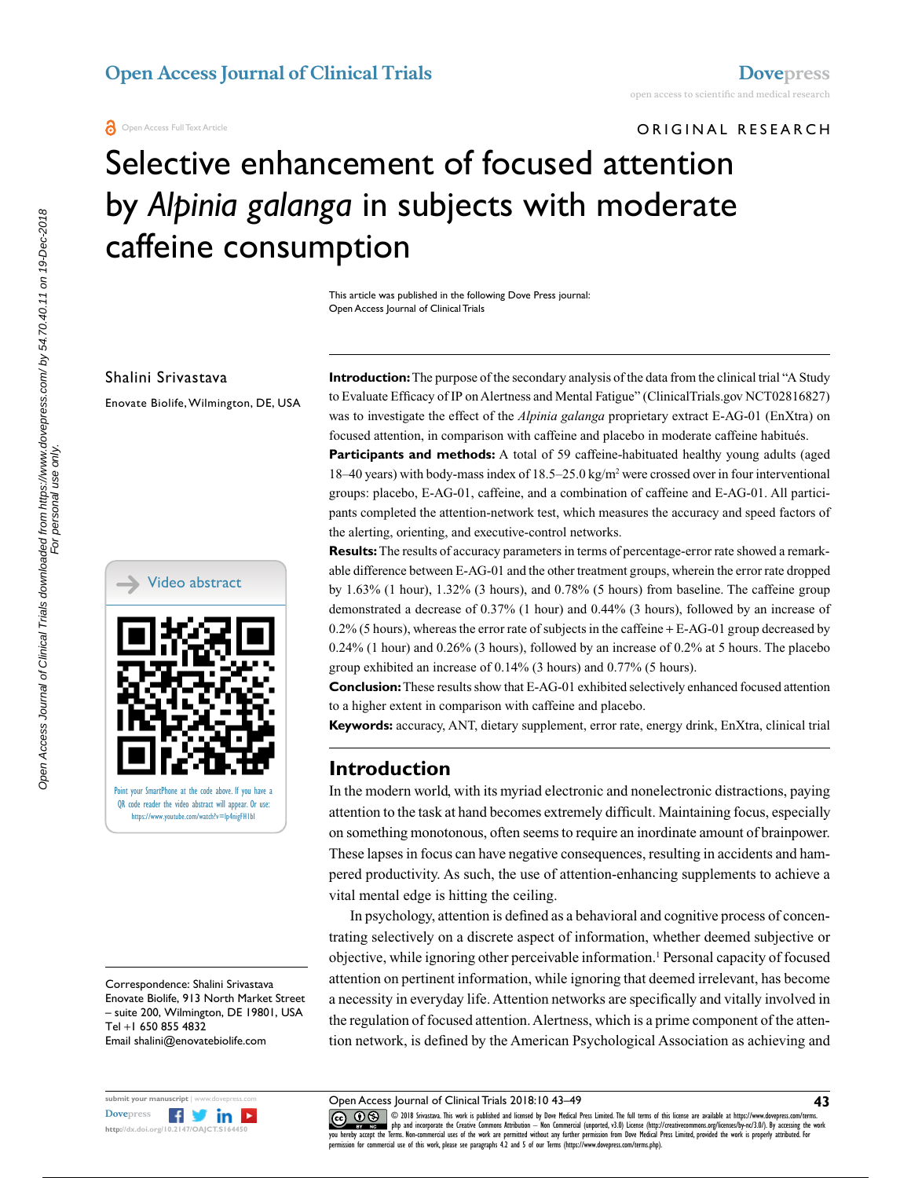ORIGINAL RESEARCH

# Selective enhancement of focused attention by *Alpinia galanga* in subjects with moderate caffeine consumption

This article was published in the following Dove Press journal: Open Access Journal of Clinical Trials

Shalini Srivastava

Enovate Biolife, Wilmington, DE, USA



Correspondence: Shalini Srivastava Enovate Biolife, 913 North Market Street – suite 200, Wilmington, DE 19801, USA Tel +1 650 855 4832 Email shalini@enovatebiolife.com



**Introduction:** The purpose of the secondary analysis of the data from the clinical trial "A Study to Evaluate Efficacy of IP on Alertness and Mental Fatigue" (ClinicalTrials.gov NCT02816827) was to investigate the effect of the *Alpinia galanga* proprietary extract E-AG-01 (EnXtra) on focused attention, in comparison with caffeine and placebo in moderate caffeine habitués.

**Participants and methods:** A total of 59 caffeine-habituated healthy young adults (aged 18–40 years) with body-mass index of 18.5–25.0 kg/m<sup>2</sup> were crossed over in four interventional groups: placebo, E-AG-01, caffeine, and a combination of caffeine and E-AG-01. All participants completed the attention-network test, which measures the accuracy and speed factors of the alerting, orienting, and executive-control networks.

**Results:** The results of accuracy parameters in terms of percentage-error rate showed a remarkable difference between E-AG-01 and the other treatment groups, wherein the error rate dropped by 1.63% (1 hour), 1.32% (3 hours), and 0.78% (5 hours) from baseline. The caffeine group demonstrated a decrease of 0.37% (1 hour) and 0.44% (3 hours), followed by an increase of  $0.2\%$  (5 hours), whereas the error rate of subjects in the caffeine + E-AG-01 group decreased by 0.24% (1 hour) and 0.26% (3 hours), followed by an increase of 0.2% at 5 hours. The placebo group exhibited an increase of 0.14% (3 hours) and 0.77% (5 hours).

**Conclusion:** These results show that E-AG-01 exhibited selectively enhanced focused attention to a higher extent in comparison with caffeine and placebo.

**Keywords:** accuracy, ANT, dietary supplement, error rate, energy drink, EnXtra, clinical trial

## **Introduction**

In the modern world, with its myriad electronic and nonelectronic distractions, paying attention to the task at hand becomes extremely difficult. Maintaining focus, especially on something monotonous, often seems to require an inordinate amount of brainpower. These lapses in focus can have negative consequences, resulting in accidents and hampered productivity. As such, the use of attention-enhancing supplements to achieve a vital mental edge is hitting the ceiling.

In psychology, attention is defined as a behavioral and cognitive process of concentrating selectively on a discrete aspect of information, whether deemed subjective or objective, while ignoring other perceivable information.<sup>1</sup> Personal capacity of focused attention on pertinent information, while ignoring that deemed irrelevant, has become a necessity in everyday life. Attention networks are specifically and vitally involved in the regulation of focused attention. Alertness, which is a prime component of the attention network, is defined by the American Psychological Association as achieving and

CC **1** © 2018 Srivastava. This work is published and licensed by Dove Medical Press Limited. The full terms of this license are available at https://www.dovepress.com/terms. www.com php and incorporate the Creative Commons Attribution — Non Commercial (unported, v3.0) License (http://creativecommons.org/licenses/by-nc/3.0/). By accessing the work<br>[you hereby accept the T](http://www.dovepress.com/permissions.php)erms. Non-commercial use nission for commercial use of this work, please see paragraphs 4.2 and 5 of our Terms (https://www.dovepress.com/terms.php).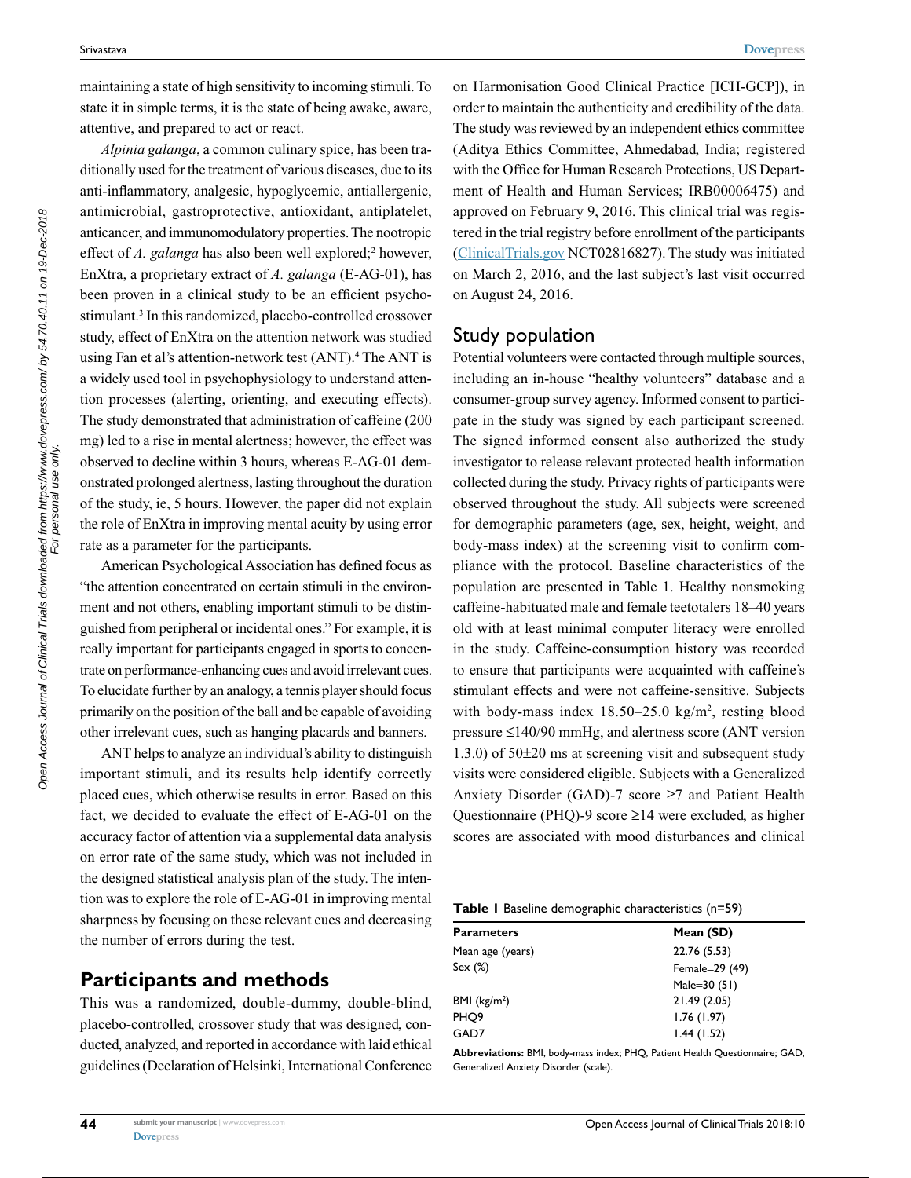maintaining a state of high sensitivity to incoming stimuli. To state it in simple terms, it is the state of being awake, aware, attentive, and prepared to act or react.

*Alpinia galanga*, a common culinary spice, has been traditionally used for the treatment of various diseases, due to its anti-inflammatory, analgesic, hypoglycemic, antiallergenic, antimicrobial, gastroprotective, antioxidant, antiplatelet, anticancer, and immunomodulatory properties. The nootropic effect of *A. galanga* has also been well explored;<sup>2</sup> however, EnXtra, a proprietary extract of *A. galanga* (E-AG-01), has been proven in a clinical study to be an efficient psychostimulant.<sup>3</sup> In this randomized, placebo-controlled crossover study, effect of EnXtra on the attention network was studied using Fan et al's attention-network test (ANT).<sup>4</sup> The ANT is a widely used tool in psychophysiology to understand attention processes (alerting, orienting, and executing effects). The study demonstrated that administration of caffeine (200 mg) led to a rise in mental alertness; however, the effect was observed to decline within 3 hours, whereas E-AG-01 demonstrated prolonged alertness, lasting throughout the duration of the study, ie, 5 hours. However, the paper did not explain the role of EnXtra in improving mental acuity by using error rate as a parameter for the participants.

American Psychological Association has defined focus as "the attention concentrated on certain stimuli in the environment and not others, enabling important stimuli to be distinguished from peripheral or incidental ones." For example, it is really important for participants engaged in sports to concentrate on performance-enhancing cues and avoid irrelevant cues. To elucidate further by an analogy, a tennis player should focus primarily on the position of the ball and be capable of avoiding other irrelevant cues, such as hanging placards and banners.

ANT helps to analyze an individual's ability to distinguish important stimuli, and its results help identify correctly placed cues, which otherwise results in error. Based on this fact, we decided to evaluate the effect of E-AG-01 on the accuracy factor of attention via a supplemental data analysis on error rate of the same study, which was not included in the designed statistical analysis plan of the study. The intention was to explore the role of E-AG-01 in improving mental sharpness by focusing on these relevant cues and decreasing the number of errors during the test.

## **Participants and methods**

This was a randomized, double-dummy, double-blind, placebo-controlled, crossover study that was designed, conducted, analyzed, and reported in accordance with laid ethical guidelines (Declaration of Helsinki, International Conference on Harmonisation Good Clinical Practice [ICH-GCP]), in order to maintain the authenticity and credibility of the data. The study was reviewed by an independent ethics committee (Aditya Ethics Committee, Ahmedabad, India; registered with the Office for Human Research Protections, US Department of Health and Human Services; IRB00006475) and approved on February 9, 2016. This clinical trial was registered in the trial registry before enrollment of the participants ([ClinicalTrials.gov](https://clinicaltrials.gov/) NCT02816827). The study was initiated on March 2, 2016, and the last subject's last visit occurred on August 24, 2016.

### Study population

Potential volunteers were contacted through multiple sources, including an in-house "healthy volunteers" database and a consumer-group survey agency. Informed consent to participate in the study was signed by each participant screened. The signed informed consent also authorized the study investigator to release relevant protected health information collected during the study. Privacy rights of participants were observed throughout the study. All subjects were screened for demographic parameters (age, sex, height, weight, and body-mass index) at the screening visit to confirm compliance with the protocol. Baseline characteristics of the population are presented in Table 1. Healthy nonsmoking caffeine-habituated male and female teetotalers 18–40 years old with at least minimal computer literacy were enrolled in the study. Caffeine-consumption history was recorded to ensure that participants were acquainted with caffeine's stimulant effects and were not caffeine-sensitive. Subjects with body-mass index  $18.50 - 25.0$  kg/m<sup>2</sup>, resting blood pressure ≤140/90 mmHg, and alertness score (ANT version 1.3.0) of 50±20 ms at screening visit and subsequent study visits were considered eligible. Subjects with a Generalized Anxiety Disorder (GAD)-7 score  $\geq$ 7 and Patient Health Questionnaire (PHQ)-9 score ≥14 were excluded, as higher scores are associated with mood disturbances and clinical

|  |  |  | <b>Table I</b> Baseline demographic characteristics (n=59) |  |
|--|--|--|------------------------------------------------------------|--|
|--|--|--|------------------------------------------------------------|--|

| <b>Parameters</b> | Mean (SD)      |  |
|-------------------|----------------|--|
| Mean age (years)  | 22.76 (5.53)   |  |
| Sex(%)            | Female=29 (49) |  |
|                   | Male= $30(51)$ |  |
| BMI $(kg/m2)$     | 21.49 (2.05)   |  |
| PHQ9              | 1.76(1.97)     |  |
| GAD7              | 1.44(1.52)     |  |

**Abbreviations:** BMI, body-mass index; PHQ, Patient Health Questionnaire; GAD, Generalized Anxiety Disorder (scale).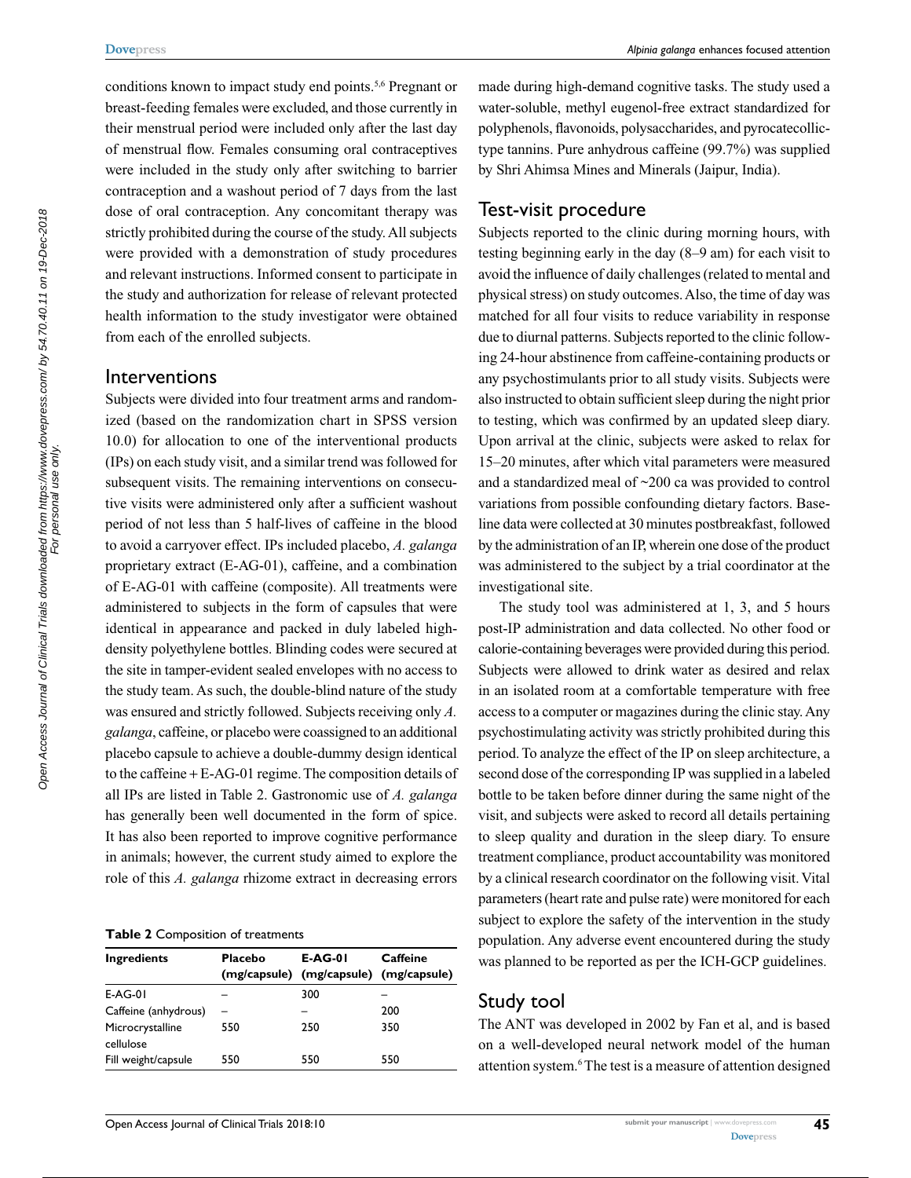conditions known to impact study end points.5,6 Pregnant or breast-feeding females were excluded, and those currently in their menstrual period were included only after the last day of menstrual flow. Females consuming oral contraceptives were included in the study only after switching to barrier contraception and a washout period of 7 days from the last dose of oral contraception. Any concomitant therapy was strictly prohibited during the course of the study. All subjects were provided with a demonstration of study procedures and relevant instructions. Informed consent to participate in the study and authorization for release of relevant protected health information to the study investigator were obtained from each of the enrolled subjects.

#### Interventions

Subjects were divided into four treatment arms and randomized (based on the randomization chart in SPSS version 10.0) for allocation to one of the interventional products (IPs) on each study visit, and a similar trend was followed for subsequent visits. The remaining interventions on consecutive visits were administered only after a sufficient washout period of not less than 5 half-lives of caffeine in the blood to avoid a carryover effect. IPs included placebo, *A. galanga* proprietary extract (E-AG-01), caffeine, and a combination of E-AG-01 with caffeine (composite). All treatments were administered to subjects in the form of capsules that were identical in appearance and packed in duly labeled highdensity polyethylene bottles. Blinding codes were secured at the site in tamper-evident sealed envelopes with no access to the study team. As such, the double-blind nature of the study was ensured and strictly followed. Subjects receiving only *A. galanga*, caffeine, or placebo were coassigned to an additional placebo capsule to achieve a double-dummy design identical to the caffeine + E-AG-01 regime. The composition details of all IPs are listed in Table 2. Gastronomic use of *A. galanga* has generally been well documented in the form of spice. It has also been reported to improve cognitive performance in animals; however, the current study aimed to explore the role of this *A. galanga* rhizome extract in decreasing errors

**Table 2** Composition of treatments

| <b>Ingredients</b>            | Placebo | <b>E-AG-01</b>                         | Caffeine |
|-------------------------------|---------|----------------------------------------|----------|
|                               |         | (mg/capsule) (mg/capsule) (mg/capsule) |          |
| $E-AG-01$                     |         | 300                                    |          |
| Caffeine (anhydrous)          |         |                                        | 200      |
| Microcrystalline<br>cellulose | 550     | 250                                    | 350      |
| Fill weight/capsule           | 550     | 550                                    | 550      |

made during high-demand cognitive tasks. The study used a water-soluble, methyl eugenol-free extract standardized for polyphenols, flavonoids, polysaccharides, and pyrocatecollictype tannins. Pure anhydrous caffeine (99.7%) was supplied by Shri Ahimsa Mines and Minerals (Jaipur, India).

#### Test-visit procedure

Subjects reported to the clinic during morning hours, with testing beginning early in the day (8–9 am) for each visit to avoid the influence of daily challenges (related to mental and physical stress) on study outcomes. Also, the time of day was matched for all four visits to reduce variability in response due to diurnal patterns. Subjects reported to the clinic following 24-hour abstinence from caffeine-containing products or any psychostimulants prior to all study visits. Subjects were also instructed to obtain sufficient sleep during the night prior to testing, which was confirmed by an updated sleep diary. Upon arrival at the clinic, subjects were asked to relax for 15–20 minutes, after which vital parameters were measured and a standardized meal of ~200 ca was provided to control variations from possible confounding dietary factors. Baseline data were collected at 30 minutes postbreakfast, followed by the administration of an IP, wherein one dose of the product was administered to the subject by a trial coordinator at the investigational site.

The study tool was administered at 1, 3, and 5 hours post-IP administration and data collected. No other food or calorie-containing beverages were provided during this period. Subjects were allowed to drink water as desired and relax in an isolated room at a comfortable temperature with free access to a computer or magazines during the clinic stay. Any psychostimulating activity was strictly prohibited during this period. To analyze the effect of the IP on sleep architecture, a second dose of the corresponding IP was supplied in a labeled bottle to be taken before dinner during the same night of the visit, and subjects were asked to record all details pertaining to sleep quality and duration in the sleep diary. To ensure treatment compliance, product accountability was monitored by a clinical research coordinator on the following visit. Vital parameters (heart rate and pulse rate) were monitored for each subject to explore the safety of the intervention in the study population. Any adverse event encountered during the study was planned to be reported as per the ICH-GCP guidelines.

#### Study tool

The ANT was developed in 2002 by Fan et al, and is based on a well-developed neural network model of the human attention system.<sup>6</sup> The test is a measure of attention designed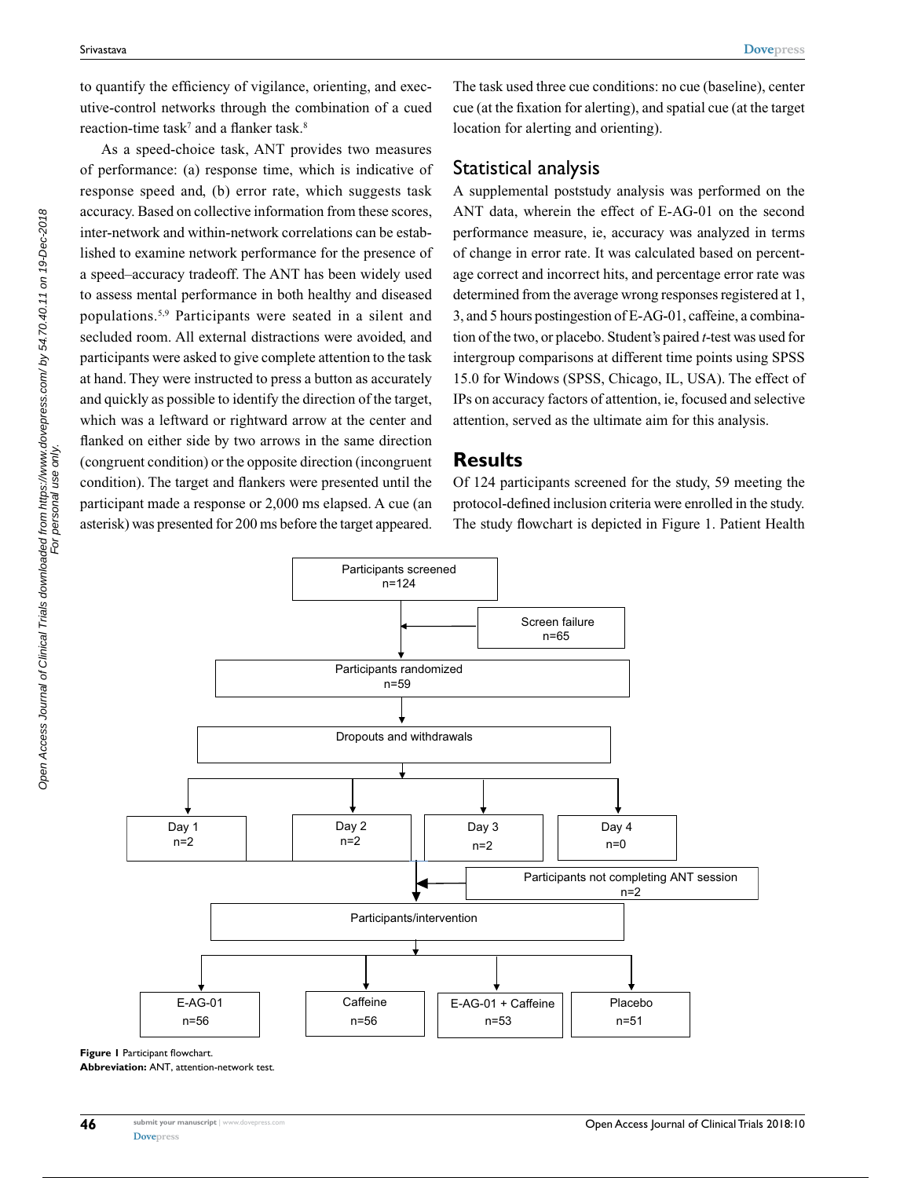to quantify the efficiency of vigilance, orienting, and executive-control networks through the combination of a cued reaction-time task<sup>7</sup> and a flanker task.<sup>8</sup>

As a speed-choice task, ANT provides two measures of performance: (a) response time, which is indicative of response speed and, (b) error rate, which suggests task accuracy. Based on collective information from these scores, inter-network and within-network correlations can be established to examine network performance for the presence of a speed–accuracy tradeoff. The ANT has been widely used to assess mental performance in both healthy and diseased populations.5,9 Participants were seated in a silent and secluded room. All external distractions were avoided, and participants were asked to give complete attention to the task at hand. They were instructed to press a button as accurately and quickly as possible to identify the direction of the target, which was a leftward or rightward arrow at the center and flanked on either side by two arrows in the same direction (congruent condition) or the opposite direction (incongruent condition). The target and flankers were presented until the participant made a response or 2,000 ms elapsed. A cue (an asterisk) was presented for 200 ms before the target appeared.

The task used three cue conditions: no cue (baseline), center cue (at the fixation for alerting), and spatial cue (at the target location for alerting and orienting).

#### Statistical analysis

A supplemental poststudy analysis was performed on the ANT data, wherein the effect of E-AG-01 on the second performance measure, ie, accuracy was analyzed in terms of change in error rate. It was calculated based on percentage correct and incorrect hits, and percentage error rate was determined from the average wrong responses registered at 1, 3, and 5 hours postingestion of E-AG-01, caffeine, a combination of the two, or placebo. Student's paired *t*-test was used for intergroup comparisons at different time points using SPSS 15.0 for Windows (SPSS, Chicago, IL, USA). The effect of IPs on accuracy factors of attention, ie, focused and selective attention, served as the ultimate aim for this analysis.

#### **Results**

Of 124 participants screened for the study, 59 meeting the protocol-defined inclusion criteria were enrolled in the study. The study flowchart is depicted in Figure 1. Patient Health



**Figure 1** Participant flowchart.

**Abbreviation:** ANT, attention-network test.

Open Access Journal of Clinical Trials downloaded from https://www.dovepress.com/ by 54.70.40.11 on 19-Dec-2018<br>For personal use only. Open Access Journal of Clinical Trials downloaded from https://www.dovepress.com/ by 54.70.40.11 on 19-Dec-2018 For personal use only.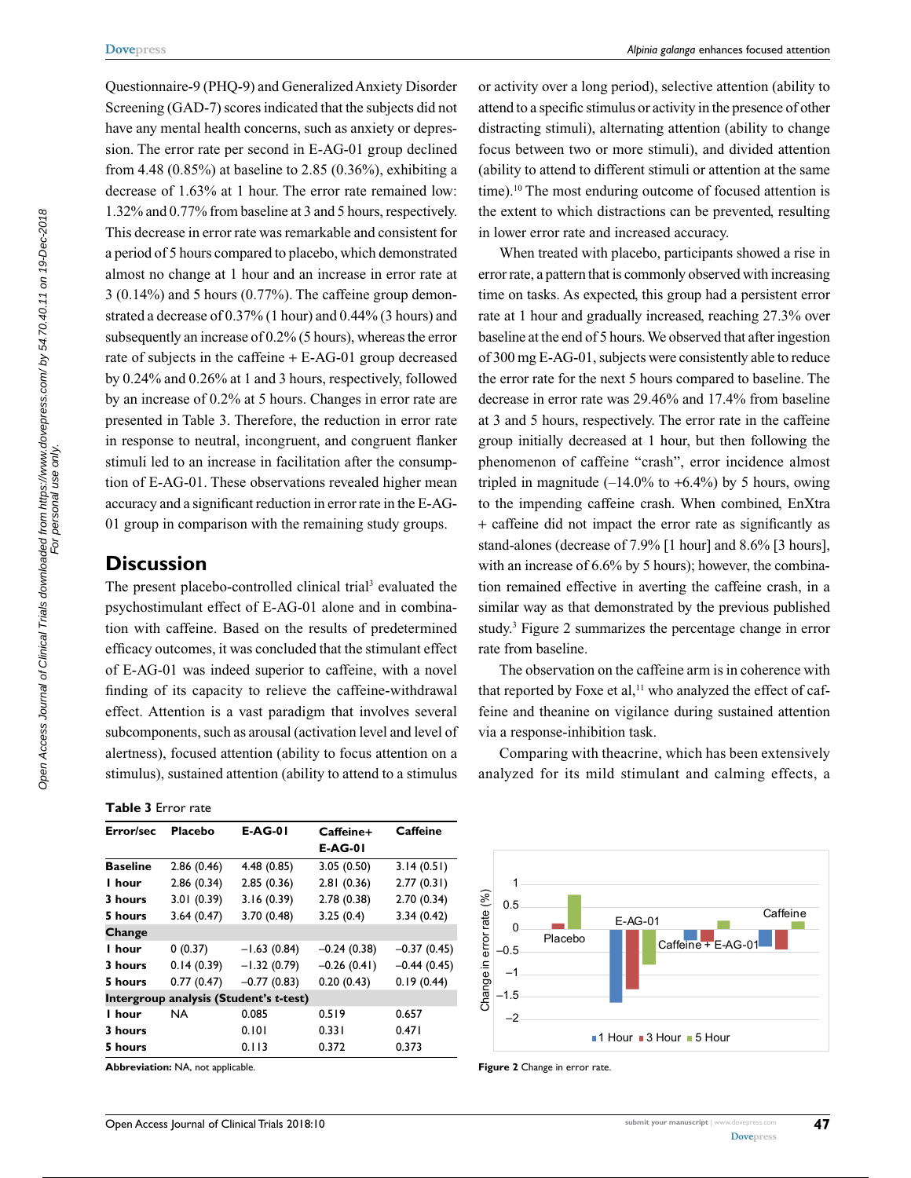Questionnaire-9 (PHQ-9) and Generalized Anxiety Disorder Screening (GAD-7) scores indicated that the subjects did not have any mental health concerns, such as anxiety or depression. The error rate per second in E-AG-01 group declined from 4.48 (0.85%) at baseline to 2.85 (0.36%), exhibiting a decrease of 1.63% at 1 hour. The error rate remained low: 1.32% and 0.77% from baseline at 3 and 5 hours, respectively. This decrease in error rate was remarkable and consistent for a period of 5 hours compared to placebo, which demonstrated almost no change at 1 hour and an increase in error rate at 3 (0.14%) and 5 hours (0.77%). The caffeine group demonstrated a decrease of 0.37% (1 hour) and 0.44% (3 hours) and subsequently an increase of 0.2% (5 hours), whereas the error rate of subjects in the caffeine + E-AG-01 group decreased by 0.24% and 0.26% at 1 and 3 hours, respectively, followed by an increase of 0.2% at 5 hours. Changes in error rate are presented in Table 3. Therefore, the reduction in error rate in response to neutral, incongruent, and congruent flanker stimuli led to an increase in facilitation after the consumption of E-AG-01. These observations revealed higher mean accuracy and a significant reduction in error rate in the E-AG-01 group in comparison with the remaining study groups.

## **Discussion**

The present placebo-controlled clinical trial<sup>3</sup> evaluated the psychostimulant effect of E-AG-01 alone and in combination with caffeine. Based on the results of predetermined efficacy outcomes, it was concluded that the stimulant effect of E-AG-01 was indeed superior to caffeine, with a novel finding of its capacity to relieve the caffeine-withdrawal effect. Attention is a vast paradigm that involves several subcomponents, such as arousal (activation level and level of alertness), focused attention (ability to focus attention on a stimulus), sustained attention (ability to attend to a stimulus

**Table 3** Error rate

| Error/sec                              | Placebo     | <b>E-AG-01</b> | Caffeine+      | <b>Caffeine</b> |  |  |
|----------------------------------------|-------------|----------------|----------------|-----------------|--|--|
|                                        |             |                | <b>E-AG-01</b> |                 |  |  |
| <b>Baseline</b>                        | 2.86(0.46)  | 4.48(0.85)     | 3.05(0.50)     | 3.14(0.51)      |  |  |
| I hour                                 | 2.86(0.34)  | 2.85(0.36)     | 2.81(0.36)     | 2.77(0.31)      |  |  |
| 3 hours                                | 3.01 (0.39) | 3.16(0.39)     | 2.78(0.38)     | 2.70(0.34)      |  |  |
| 5 hours                                | 3.64(0.47)  | 3.70 (0.48)    | 3.25(0.4)      | 3.34(0.42)      |  |  |
| Change                                 |             |                |                |                 |  |  |
| l hour                                 | 0(0.37)     | $-1.63(0.84)$  | $-0.24(0.38)$  | $-0.37(0.45)$   |  |  |
| 3 hours                                | 0.14(0.39)  | $-1.32(0.79)$  | $-0.26(0.41)$  | $-0.44(0.45)$   |  |  |
| 5 hours                                | 0.77(0.47)  | $-0.77(0.83)$  | 0.20(0.43)     | 0.19(0.44)      |  |  |
| Intergroup analysis (Student's t-test) |             |                |                |                 |  |  |
| I hour                                 | NA          | 0.085          | 0.519          | 0.657           |  |  |
| 3 hours                                |             | 0.101          | 0.331          | 0.471           |  |  |
| 5 hours                                |             | 0.113          | 0.372          | 0.373           |  |  |

**Abbreviation:** NA, not applicable. **Figure 2** Change in error rate.

or activity over a long period), selective attention (ability to attend to a specific stimulus or activity in the presence of other distracting stimuli), alternating attention (ability to change focus between two or more stimuli), and divided attention (ability to attend to different stimuli or attention at the same time).<sup>10</sup> The most enduring outcome of focused attention is the extent to which distractions can be prevented, resulting in lower error rate and increased accuracy.

When treated with placebo, participants showed a rise in error rate, a pattern that is commonly observed with increasing time on tasks. As expected, this group had a persistent error rate at 1 hour and gradually increased, reaching 27.3% over baseline at the end of 5 hours. We observed that after ingestion of 300 mg E-AG-01, subjects were consistently able to reduce the error rate for the next 5 hours compared to baseline. The decrease in error rate was 29.46% and 17.4% from baseline at 3 and 5 hours, respectively. The error rate in the caffeine group initially decreased at 1 hour, but then following the phenomenon of caffeine "crash", error incidence almost tripled in magnitude  $(-14.0\%$  to  $+6.4\%)$  by 5 hours, owing to the impending caffeine crash. When combined, EnXtra + caffeine did not impact the error rate as significantly as stand-alones (decrease of 7.9% [1 hour] and 8.6% [3 hours], with an increase of 6.6% by 5 hours); however, the combination remained effective in averting the caffeine crash, in a similar way as that demonstrated by the previous published study.3 Figure 2 summarizes the percentage change in error rate from baseline.

The observation on the caffeine arm is in coherence with that reported by Foxe et al,<sup>11</sup> who analyzed the effect of caffeine and theanine on vigilance during sustained attention via a response-inhibition task.

Comparing with theacrine, which has been extensively analyzed for its mild stimulant and calming effects, a

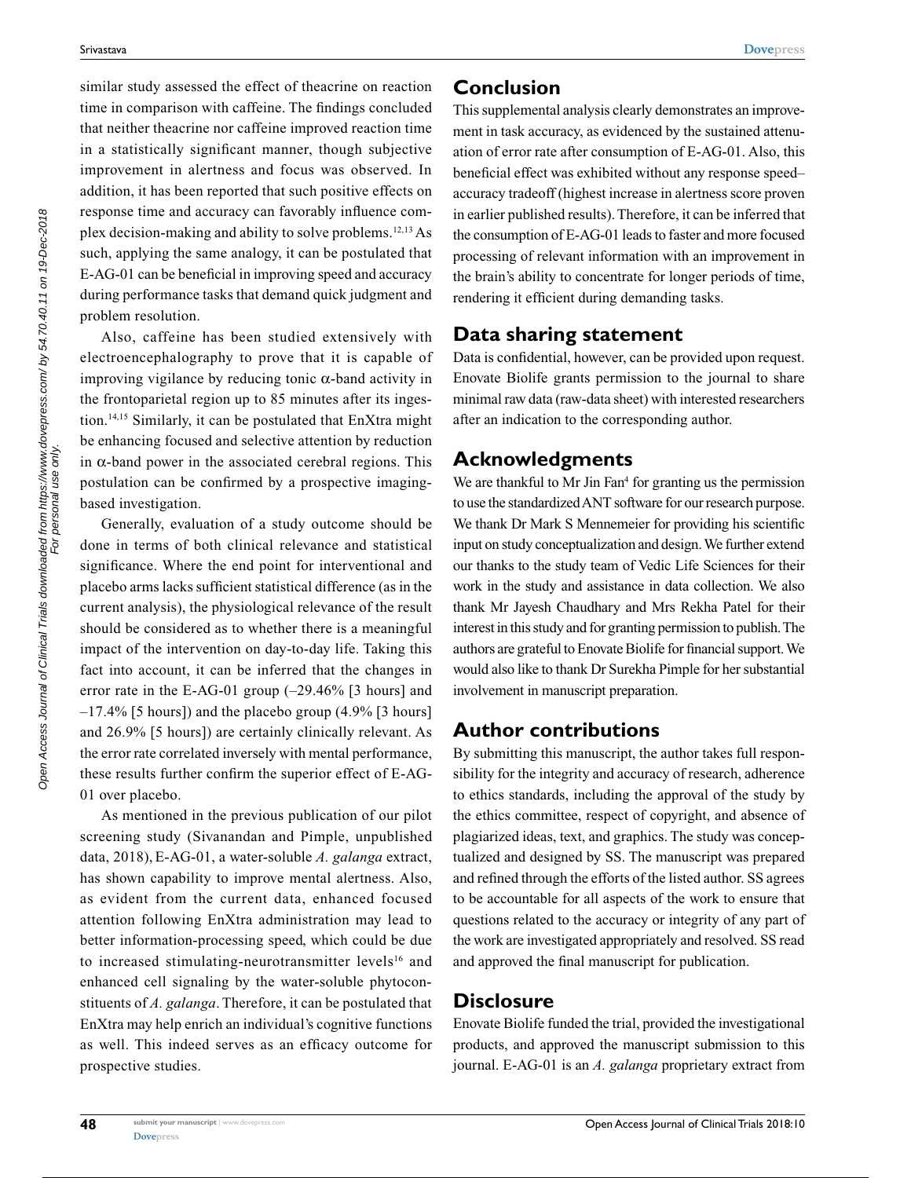similar study assessed the effect of theacrine on reaction time in comparison with caffeine. The findings concluded that neither theacrine nor caffeine improved reaction time in a statistically significant manner, though subjective improvement in alertness and focus was observed. In addition, it has been reported that such positive effects on response time and accuracy can favorably influence complex decision-making and ability to solve problems.12,13 As such, applying the same analogy, it can be postulated that E-AG-01 can be beneficial in improving speed and accuracy during performance tasks that demand quick judgment and problem resolution.

Also, caffeine has been studied extensively with electroencephalography to prove that it is capable of improving vigilance by reducing tonic  $\alpha$ -band activity in the frontoparietal region up to 85 minutes after its ingestion.14,15 Similarly, it can be postulated that EnXtra might be enhancing focused and selective attention by reduction in α-band power in the associated cerebral regions. This postulation can be confirmed by a prospective imagingbased investigation.

Generally, evaluation of a study outcome should be done in terms of both clinical relevance and statistical significance. Where the end point for interventional and placebo arms lacks sufficient statistical difference (as in the current analysis), the physiological relevance of the result should be considered as to whether there is a meaningful impact of the intervention on day-to-day life. Taking this fact into account, it can be inferred that the changes in error rate in the E-AG-01 group (–29.46% [3 hours] and  $-17.4\%$  [5 hours]) and the placebo group (4.9% [3 hours] and 26.9% [5 hours]) are certainly clinically relevant. As the error rate correlated inversely with mental performance, these results further confirm the superior effect of E-AG-01 over placebo.

As mentioned in the previous publication of our pilot screening study (Sivanandan and Pimple, unpublished data, 2018), E-AG-01, a water-soluble *A. galanga* extract, has shown capability to improve mental alertness. Also, as evident from the current data, enhanced focused attention following EnXtra administration may lead to better information-processing speed, which could be due to increased stimulating-neurotransmitter levels<sup>16</sup> and enhanced cell signaling by the water-soluble phytoconstituents of *A. galanga*. Therefore, it can be postulated that EnXtra may help enrich an individual's cognitive functions as well. This indeed serves as an efficacy outcome for prospective studies.

# **Conclusion**

This supplemental analysis clearly demonstrates an improvement in task accuracy, as evidenced by the sustained attenuation of error rate after consumption of E-AG-01. Also, this beneficial effect was exhibited without any response speed– accuracy tradeoff (highest increase in alertness score proven in earlier published results). Therefore, it can be inferred that the consumption of E-AG-01 leads to faster and more focused processing of relevant information with an improvement in the brain's ability to concentrate for longer periods of time, rendering it efficient during demanding tasks.

# **Data sharing statement**

Data is confidential, however, can be provided upon request. Enovate Biolife grants permission to the journal to share minimal raw data (raw-data sheet) with interested researchers after an indication to the corresponding author.

# **Acknowledgments**

We are thankful to Mr Jin Fan<sup>4</sup> for granting us the permission to use the standardized ANT software for our research purpose. We thank Dr Mark S Mennemeier for providing his scientific input on study conceptualization and design. We further extend our thanks to the study team of Vedic Life Sciences for their work in the study and assistance in data collection. We also thank Mr Jayesh Chaudhary and Mrs Rekha Patel for their interest in this study and for granting permission to publish. The authors are grateful to Enovate Biolife for financial support. We would also like to thank Dr Surekha Pimple for her substantial involvement in manuscript preparation.

# **Author contributions**

By submitting this manuscript, the author takes full responsibility for the integrity and accuracy of research, adherence to ethics standards, including the approval of the study by the ethics committee, respect of copyright, and absence of plagiarized ideas, text, and graphics. The study was conceptualized and designed by SS. The manuscript was prepared and refined through the efforts of the listed author. SS agrees to be accountable for all aspects of the work to ensure that questions related to the accuracy or integrity of any part of the work are investigated appropriately and resolved. SS read and approved the final manuscript for publication.

# **Disclosure**

Enovate Biolife funded the trial, provided the investigational products, and approved the manuscript submission to this journal. E-AG-01 is an *A. galanga* proprietary extract from